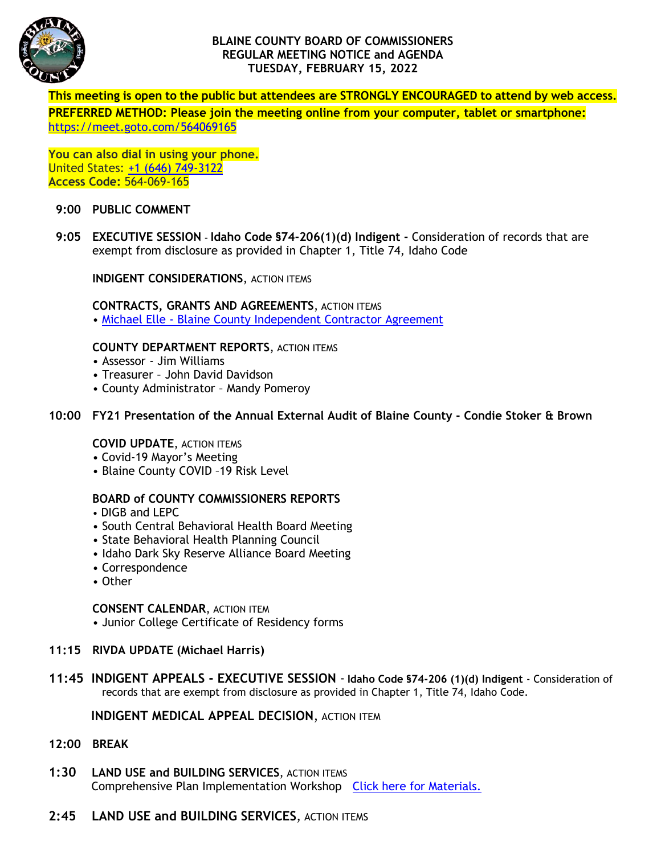

# **BLAINE COUNTY BOARD OF COMMISSIONERS REGULAR MEETING NOTICE and AGENDA TUESDAY, FEBRUARY 15, 2022**

**This meeting is open to the public but attendees are STRONGLY ENCOURAGED to attend by web access. PREFERRED METHOD: Please join the meeting online from your computer, tablet or smartphone:** <https://meet.goto.com/564069165>

**You can also dial in using your phone.** United States: [+1 \(646\) 749-3122](tel:+16467493122,,564069165) **Access Code:** 564-069-165

### **9:00 PUBLIC COMMENT**

**9:05 EXECUTIVE SESSION – Idaho Code §74-206(1)(d) Indigent -** Consideration of records that are exempt from disclosure as provided in Chapter 1, Title 74, Idaho Code

**INDIGENT CONSIDERATIONS**, ACTION ITEMS

**CONTRACTS, GRANTS AND AGREEMENTS**, ACTION ITEMS • Michael Elle - [Blaine County Independent Contractor Agreement](https://www.co.blaine.id.us/DocumentCenter/View/17953/Elle-Contract-FY-22-rev1)

### **COUNTY DEPARTMENT REPORTS**, ACTION ITEMS

- Assessor Jim Williams
- Treasurer John David Davidson
- County Administrator Mandy Pomeroy

# **10:00 FY21 Presentation of the Annual External Audit of Blaine County - Condie Stoker & Brown**

# **COVID UPDATE**, ACTION ITEMS

- Covid-19 Mayor's Meeting
- Blaine County COVID –19 Risk Level

# **BOARD of COUNTY COMMISSIONERS REPORTS**

- DIGB and LEPC
- South Central Behavioral Health Board Meeting
- State Behavioral Health Planning Council
- Idaho Dark Sky Reserve Alliance Board Meeting
- Correspondence
- Other

### **CONSENT CALENDAR**, ACTION ITEM

- Junior College Certificate of Residency forms
- **11:15 RIVDA UPDATE (Michael Harris)**
- **11:45 INDIGENT APPEALS - EXECUTIVE SESSION Idaho Code §74-206 (1)(d) Indigent**  Consideration of records that are exempt from disclosure as provided in Chapter 1, Title 74, Idaho Code.

# **INDIGENT MEDICAL APPEAL DECISION**, ACTION ITEM

- **12:00 BREAK**
- **1:30 LAND USE and BUILDING SERVICES**, ACTION ITEMS Comprehensive Plan Implementation Workshop [Click here for Materials.](https://www.co.blaine.id.us/199/County-Commissioner-Hearing-Application-)
- **2:45 LAND USE and BUILDING SERVICES**, ACTION ITEMS